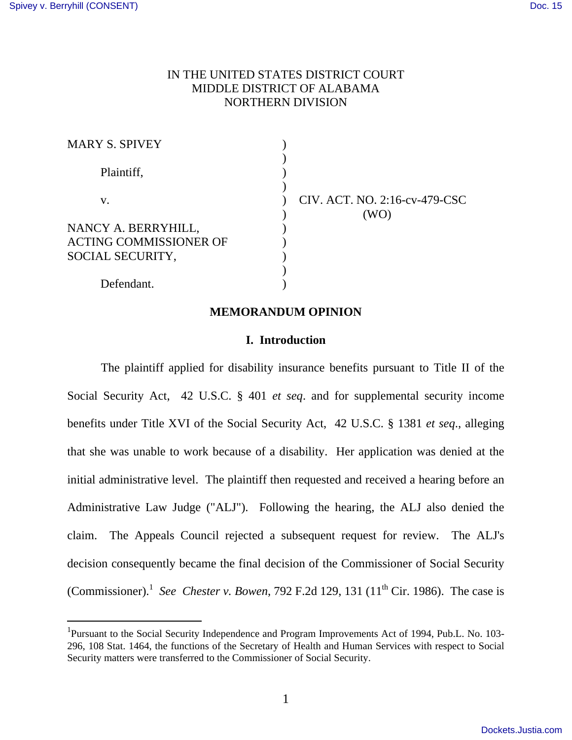-

# IN THE UNITED STATES DISTRICT COURT MIDDLE DISTRICT OF ALABAMA NORTHERN DIVISION

| MARY S. SPIVEY         |                                       |
|------------------------|---------------------------------------|
| Plaintiff,             |                                       |
| V.                     | CIV. ACT. NO. 2:16-cv-479-CSC<br>(WO) |
| NANCY A. BERRYHILL,    |                                       |
| ACTING COMMISSIONER OF |                                       |
| SOCIAL SECURITY,       |                                       |
|                        |                                       |
| Defendant.             |                                       |

### **MEMORANDUM OPINION**

#### **I. Introduction**

 The plaintiff applied for disability insurance benefits pursuant to Title II of the Social Security Act, 42 U.S.C. § 401 *et seq*. and for supplemental security income benefits under Title XVI of the Social Security Act, 42 U.S.C. § 1381 *et seq*., alleging that she was unable to work because of a disability. Her application was denied at the initial administrative level. The plaintiff then requested and received a hearing before an Administrative Law Judge ("ALJ"). Following the hearing, the ALJ also denied the claim. The Appeals Council rejected a subsequent request for review. The ALJ's decision consequently became the final decision of the Commissioner of Social Security (Commissioner).<sup>1</sup> See Chester v. Bowen, 792 F.2d 129, 131 (11<sup>th</sup> Cir. 1986). The case is

<sup>&</sup>lt;sup>1</sup>Pursuant to the Social Security Independence and Program Improvements Act of 1994, Pub.L. No. 103-296, 108 Stat. 1464, the functions of the Secretary of Health and Human Services with respect to Social Security matters were transferred to the Commissioner of Social Security.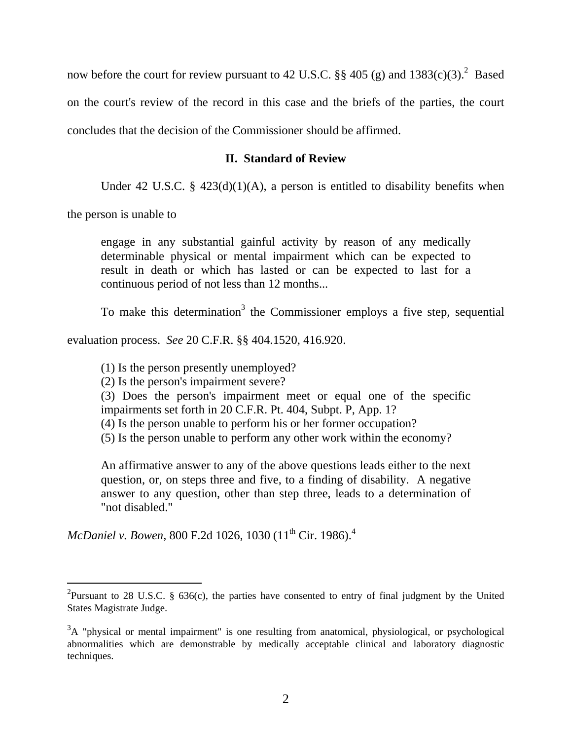now before the court for review pursuant to 42 U.S.C.  $\S$  405 (g) and 1383(c)(3).<sup>2</sup> Based on the court's review of the record in this case and the briefs of the parties, the court concludes that the decision of the Commissioner should be affirmed.

# **II. Standard of Review**

Under 42 U.S.C. §  $423(d)(1)(A)$ , a person is entitled to disability benefits when

the person is unable to

-

engage in any substantial gainful activity by reason of any medically determinable physical or mental impairment which can be expected to result in death or which has lasted or can be expected to last for a continuous period of not less than 12 months...

To make this determination<sup>3</sup> the Commissioner employs a five step, sequential

evaluation process. *See* 20 C.F.R. §§ 404.1520, 416.920.

(1) Is the person presently unemployed?

(2) Is the person's impairment severe?

(3) Does the person's impairment meet or equal one of the specific impairments set forth in 20 C.F.R. Pt. 404, Subpt. P, App. 1?

- (4) Is the person unable to perform his or her former occupation?
- (5) Is the person unable to perform any other work within the economy?

An affirmative answer to any of the above questions leads either to the next question, or, on steps three and five, to a finding of disability. A negative answer to any question, other than step three, leads to a determination of "not disabled."

*McDaniel v. Bowen, 800 F.2d 1026, 1030* (11<sup>th</sup> Cir. 1986).<sup>4</sup>

<sup>&</sup>lt;sup>2</sup>Pursuant to 28 U.S.C. § 636(c), the parties have consented to entry of final judgment by the United States Magistrate Judge.

<sup>&</sup>lt;sup>3</sup>A "physical or mental impairment" is one resulting from anatomical, physiological, or psychological abnormalities which are demonstrable by medically acceptable clinical and laboratory diagnostic techniques.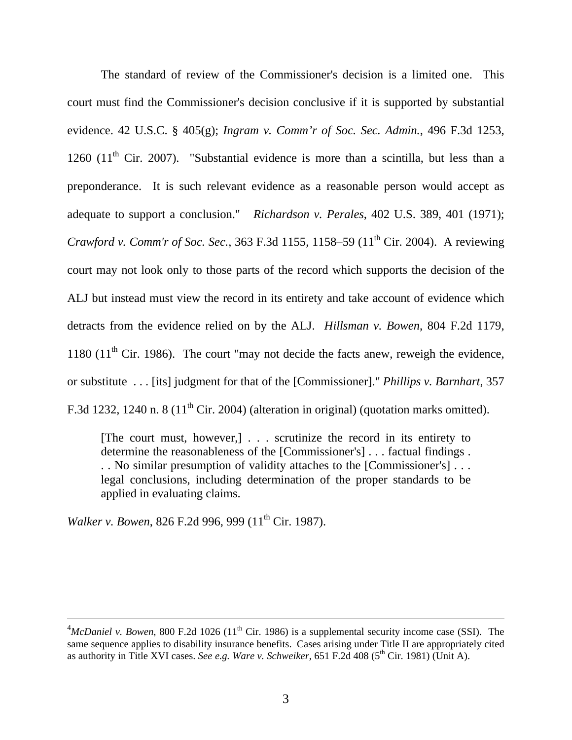The standard of review of the Commissioner's decision is a limited one. This court must find the Commissioner's decision conclusive if it is supported by substantial evidence. 42 U.S.C. § 405(g); *Ingram v. Comm'r of Soc. Sec. Admin.*, 496 F.3d 1253, 1260 (11<sup>th</sup> Cir. 2007). "Substantial evidence is more than a scintilla, but less than a preponderance. It is such relevant evidence as a reasonable person would accept as adequate to support a conclusion." *Richardson v. Perales*, 402 U.S. 389, 401 (1971); *Crawford v. Comm'r of Soc. Sec.*, 363 F.3d 1155, 1158–59 (11<sup>th</sup> Cir. 2004). A reviewing court may not look only to those parts of the record which supports the decision of the ALJ but instead must view the record in its entirety and take account of evidence which detracts from the evidence relied on by the ALJ. *Hillsman v. Bowen*, 804 F.2d 1179, 1180  $(11<sup>th</sup>$  Cir. 1986). The court "may not decide the facts anew, reweigh the evidence, or substitute . . . [its] judgment for that of the [Commissioner]." *Phillips v. Barnhart*, 357 F.3d 1232, 1240 n. 8 (11<sup>th</sup> Cir. 2004) (alteration in original) (quotation marks omitted).

[The court must, however,] . . . scrutinize the record in its entirety to determine the reasonableness of the [Commissioner's] . . . factual findings . . . No similar presumption of validity attaches to the [Commissioner's] . . . legal conclusions, including determination of the proper standards to be applied in evaluating claims.

*Walker v. Bowen, 826 F.2d 996, 999 (11<sup>th</sup> Cir. 1987).* 

 $\overline{a}$ 

 $^{4}$ McDaniel v. Bowen, 800 F.2d 1026 (11<sup>th</sup> Cir. 1986) is a supplemental security income case (SSI). The same sequence applies to disability insurance benefits. Cases arising under Title II are appropriately cited as authority in Title XVI cases. *See e.g. Ware v. Schweiker*, 651 F.2d 408 (5<sup>th</sup> Cir. 1981) (Unit A).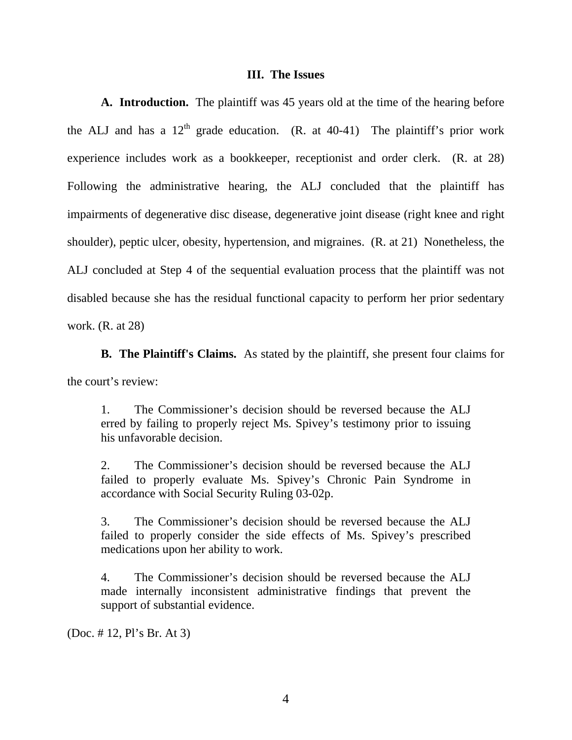#### **III. The Issues**

**A. Introduction.** The plaintiff was 45 years old at the time of the hearing before the ALJ and has a  $12<sup>th</sup>$  grade education. (R. at 40-41) The plaintiff's prior work experience includes work as a bookkeeper, receptionist and order clerk. (R. at 28) Following the administrative hearing, the ALJ concluded that the plaintiff has impairments of degenerative disc disease, degenerative joint disease (right knee and right shoulder), peptic ulcer, obesity, hypertension, and migraines. (R. at 21) Nonetheless, the ALJ concluded at Step 4 of the sequential evaluation process that the plaintiff was not disabled because she has the residual functional capacity to perform her prior sedentary work. (R. at 28)

**B. The Plaintiff's Claims.** As stated by the plaintiff, she present four claims for the court's review:

1. The Commissioner's decision should be reversed because the ALJ erred by failing to properly reject Ms. Spivey's testimony prior to issuing his unfavorable decision.

2. The Commissioner's decision should be reversed because the ALJ failed to properly evaluate Ms. Spivey's Chronic Pain Syndrome in accordance with Social Security Ruling 03-02p.

3. The Commissioner's decision should be reversed because the ALJ failed to properly consider the side effects of Ms. Spivey's prescribed medications upon her ability to work.

4. The Commissioner's decision should be reversed because the ALJ made internally inconsistent administrative findings that prevent the support of substantial evidence.

(Doc. # 12, Pl's Br. At 3)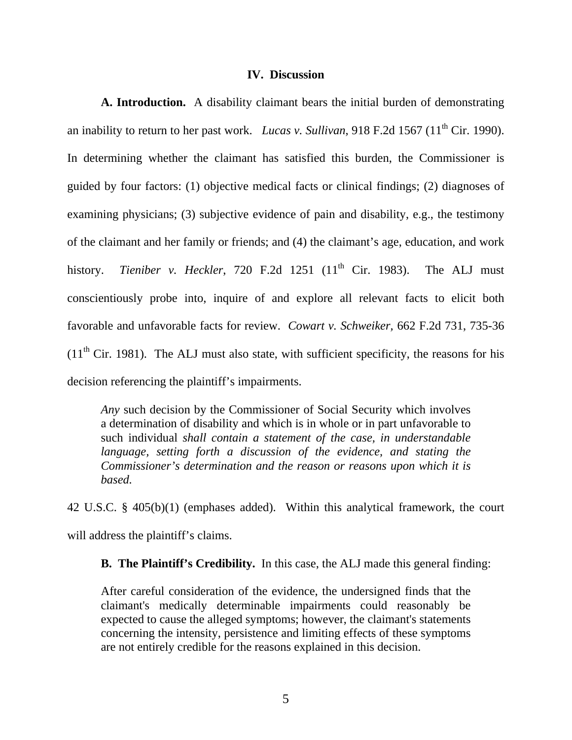#### **IV. Discussion**

**A. Introduction.** A disability claimant bears the initial burden of demonstrating an inability to return to her past work. *Lucas v. Sullivan*, 918 F.2d 1567 (11<sup>th</sup> Cir. 1990). In determining whether the claimant has satisfied this burden, the Commissioner is guided by four factors: (1) objective medical facts or clinical findings; (2) diagnoses of examining physicians; (3) subjective evidence of pain and disability, e.g., the testimony of the claimant and her family or friends; and (4) the claimant's age, education, and work history. *Tieniber v. Heckler*, 720 F.2d 1251 (11<sup>th</sup> Cir. 1983). The ALJ must conscientiously probe into, inquire of and explore all relevant facts to elicit both favorable and unfavorable facts for review. *Cowart v. Schweiker,* 662 F.2d 731, 735-36  $(11<sup>th</sup> Cir. 1981)$ . The ALJ must also state, with sufficient specificity, the reasons for his decision referencing the plaintiff's impairments.

*Any* such decision by the Commissioner of Social Security which involves a determination of disability and which is in whole or in part unfavorable to such individual *shall contain a statement of the case, in understandable language, setting forth a discussion of the evidence, and stating the Commissioner's determination and the reason or reasons upon which it is based.*

42 U.S.C. § 405(b)(1) (emphases added). Within this analytical framework, the court will address the plaintiff's claims.

**B. The Plaintiff's Credibility.** In this case, the ALJ made this general finding:

After careful consideration of the evidence, the undersigned finds that the claimant's medically determinable impairments could reasonably be expected to cause the alleged symptoms; however, the claimant's statements concerning the intensity, persistence and limiting effects of these symptoms are not entirely credible for the reasons explained in this decision.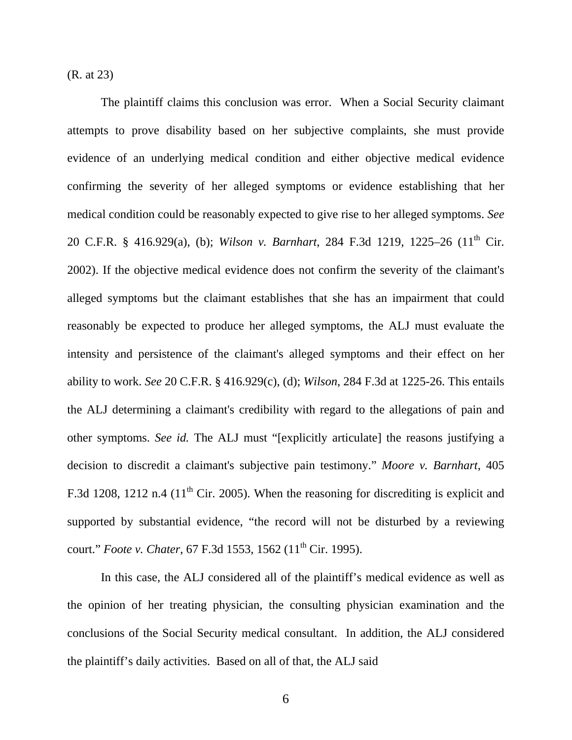(R. at 23)

 The plaintiff claims this conclusion was error. When a Social Security claimant attempts to prove disability based on her subjective complaints, she must provide evidence of an underlying medical condition and either objective medical evidence confirming the severity of her alleged symptoms or evidence establishing that her medical condition could be reasonably expected to give rise to her alleged symptoms. *See* 20 C.F.R. § 416.929(a), (b); *Wilson v. Barnhart*, 284 F.3d 1219, 1225–26 (11<sup>th</sup> Cir. 2002). If the objective medical evidence does not confirm the severity of the claimant's alleged symptoms but the claimant establishes that she has an impairment that could reasonably be expected to produce her alleged symptoms, the ALJ must evaluate the intensity and persistence of the claimant's alleged symptoms and their effect on her ability to work. *See* 20 C.F.R. § 416.929(c), (d); *Wilson*, 284 F.3d at 1225-26. This entails the ALJ determining a claimant's credibility with regard to the allegations of pain and other symptoms. *See id.* The ALJ must "[explicitly articulate] the reasons justifying a decision to discredit a claimant's subjective pain testimony." *Moore v. Barnhart*, 405 F.3d 1208, 1212 n.4 ( $11<sup>th</sup>$  Cir. 2005). When the reasoning for discrediting is explicit and supported by substantial evidence, "the record will not be disturbed by a reviewing court." *Foote v. Chater*, 67 F.3d 1553, 1562 (11<sup>th</sup> Cir. 1995).

 In this case, the ALJ considered all of the plaintiff's medical evidence as well as the opinion of her treating physician, the consulting physician examination and the conclusions of the Social Security medical consultant. In addition, the ALJ considered the plaintiff's daily activities. Based on all of that, the ALJ said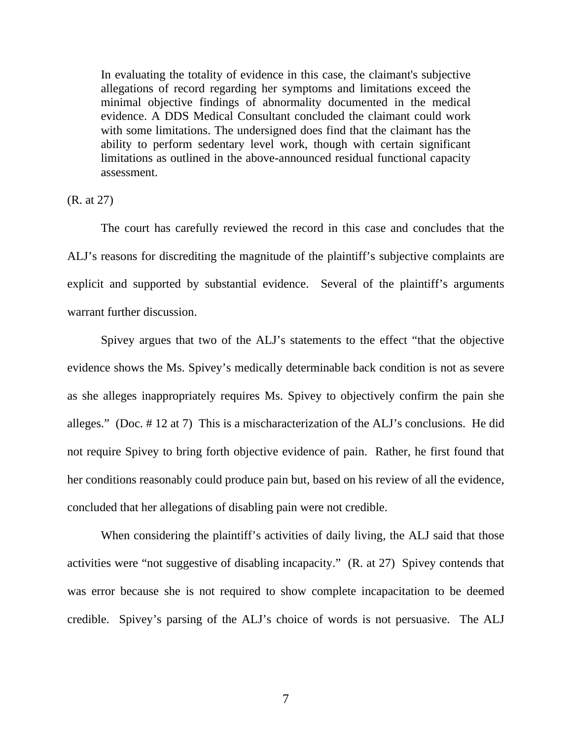In evaluating the totality of evidence in this case, the claimant's subjective allegations of record regarding her symptoms and limitations exceed the minimal objective findings of abnormality documented in the medical evidence. A DDS Medical Consultant concluded the claimant could work with some limitations. The undersigned does find that the claimant has the ability to perform sedentary level work, though with certain significant limitations as outlined in the above-announced residual functional capacity assessment.

(R. at 27)

 The court has carefully reviewed the record in this case and concludes that the ALJ's reasons for discrediting the magnitude of the plaintiff's subjective complaints are explicit and supported by substantial evidence. Several of the plaintiff's arguments warrant further discussion.

 Spivey argues that two of the ALJ's statements to the effect "that the objective evidence shows the Ms. Spivey's medically determinable back condition is not as severe as she alleges inappropriately requires Ms. Spivey to objectively confirm the pain she alleges." (Doc. # 12 at 7) This is a mischaracterization of the ALJ's conclusions. He did not require Spivey to bring forth objective evidence of pain. Rather, he first found that her conditions reasonably could produce pain but, based on his review of all the evidence, concluded that her allegations of disabling pain were not credible.

 When considering the plaintiff's activities of daily living, the ALJ said that those activities were "not suggestive of disabling incapacity." (R. at 27) Spivey contends that was error because she is not required to show complete incapacitation to be deemed credible. Spivey's parsing of the ALJ's choice of words is not persuasive. The ALJ

7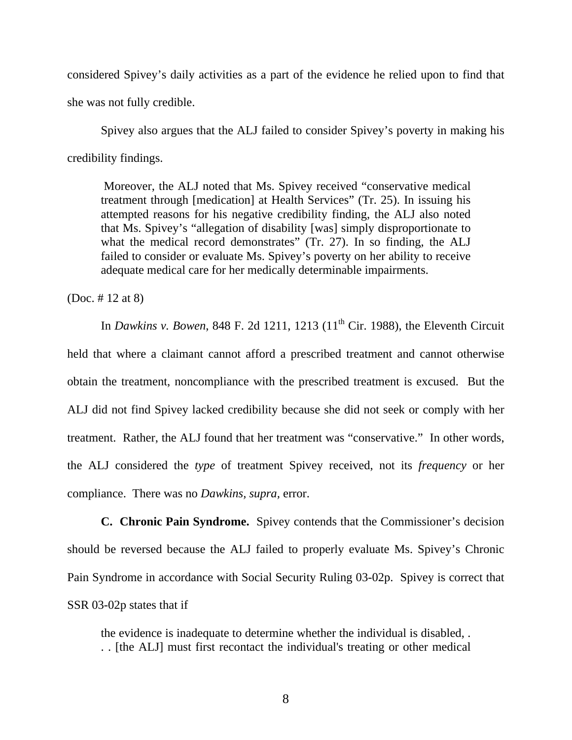considered Spivey's daily activities as a part of the evidence he relied upon to find that she was not fully credible.

 Spivey also argues that the ALJ failed to consider Spivey's poverty in making his credibility findings.

 Moreover, the ALJ noted that Ms. Spivey received "conservative medical treatment through [medication] at Health Services" (Tr. 25). In issuing his attempted reasons for his negative credibility finding, the ALJ also noted that Ms. Spivey's "allegation of disability [was] simply disproportionate to what the medical record demonstrates" (Tr. 27). In so finding, the ALJ failed to consider or evaluate Ms. Spivey's poverty on her ability to receive adequate medical care for her medically determinable impairments.

(Doc. # 12 at 8)

In *Dawkins v. Bowen*, 848 F. 2d 1211, 1213 (11<sup>th</sup> Cir. 1988), the Eleventh Circuit held that where a claimant cannot afford a prescribed treatment and cannot otherwise obtain the treatment, noncompliance with the prescribed treatment is excused. But the ALJ did not find Spivey lacked credibility because she did not seek or comply with her treatment. Rather, the ALJ found that her treatment was "conservative." In other words, the ALJ considered the *type* of treatment Spivey received, not its *frequency* or her compliance. There was no *Dawkins, supra,* error.

**C. Chronic Pain Syndrome.** Spivey contends that the Commissioner's decision should be reversed because the ALJ failed to properly evaluate Ms. Spivey's Chronic Pain Syndrome in accordance with Social Security Ruling 03-02p. Spivey is correct that SSR 03-02p states that if

the evidence is inadequate to determine whether the individual is disabled, . . . [the ALJ] must first recontact the individual's treating or other medical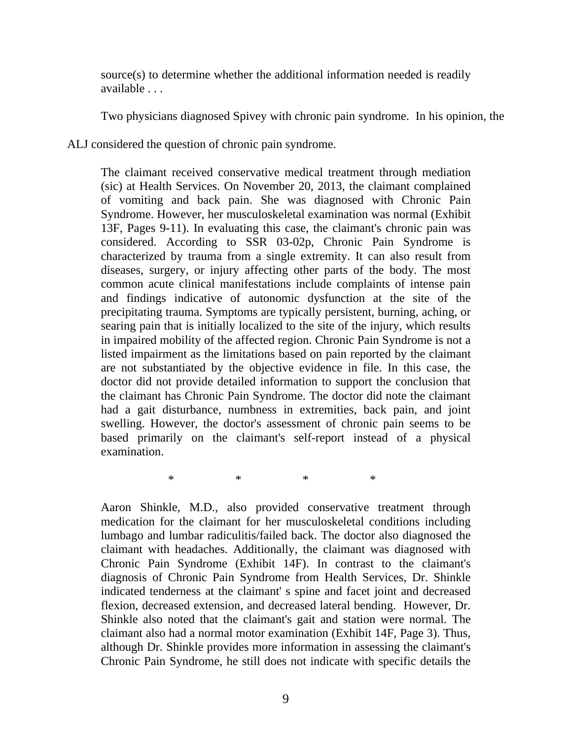source(s) to determine whether the additional information needed is readily available . . .

Two physicians diagnosed Spivey with chronic pain syndrome. In his opinion, the

ALJ considered the question of chronic pain syndrome.

The claimant received conservative medical treatment through mediation (sic) at Health Services. On November 20, 2013, the claimant complained of vomiting and back pain. She was diagnosed with Chronic Pain Syndrome. However, her musculoskeletal examination was normal (Exhibit 13F, Pages 9-11). In evaluating this case, the claimant's chronic pain was considered. According to SSR 03-02p, Chronic Pain Syndrome is characterized by trauma from a single extremity. It can also result from diseases, surgery, or injury affecting other parts of the body. The most common acute clinical manifestations include complaints of intense pain and findings indicative of autonomic dysfunction at the site of the precipitating trauma. Symptoms are typically persistent, burning, aching, or searing pain that is initially localized to the site of the injury, which results in impaired mobility of the affected region. Chronic Pain Syndrome is not a listed impairment as the limitations based on pain reported by the claimant are not substantiated by the objective evidence in file. In this case, the doctor did not provide detailed information to support the conclusion that the claimant has Chronic Pain Syndrome. The doctor did note the claimant had a gait disturbance, numbness in extremities, back pain, and joint swelling. However, the doctor's assessment of chronic pain seems to be based primarily on the claimant's self-report instead of a physical examination.

\* \* \* \*

Aaron Shinkle, M.D., also provided conservative treatment through medication for the claimant for her musculoskeletal conditions including lumbago and lumbar radiculitis/failed back. The doctor also diagnosed the claimant with headaches. Additionally, the claimant was diagnosed with Chronic Pain Syndrome (Exhibit 14F). In contrast to the claimant's diagnosis of Chronic Pain Syndrome from Health Services, Dr. Shinkle indicated tenderness at the claimant' s spine and facet joint and decreased flexion, decreased extension, and decreased lateral bending. However, Dr. Shinkle also noted that the claimant's gait and station were normal. The claimant also had a normal motor examination (Exhibit 14F, Page 3). Thus, although Dr. Shinkle provides more information in assessing the claimant's Chronic Pain Syndrome, he still does not indicate with specific details the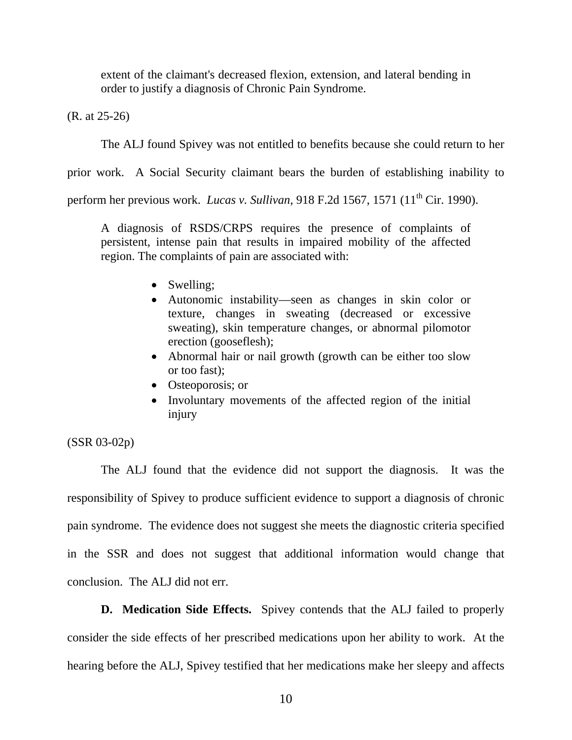extent of the claimant's decreased flexion, extension, and lateral bending in order to justify a diagnosis of Chronic Pain Syndrome.

(R. at 25-26)

The ALJ found Spivey was not entitled to benefits because she could return to her

prior work. A Social Security claimant bears the burden of establishing inability to

perform her previous work. *Lucas v. Sullivan*, 918 F.2d 1567, 1571 (11<sup>th</sup> Cir. 1990).

A diagnosis of RSDS/CRPS requires the presence of complaints of persistent, intense pain that results in impaired mobility of the affected region. The complaints of pain are associated with:

- Swelling;
- Autonomic instability—seen as changes in skin color or texture, changes in sweating (decreased or excessive sweating), skin temperature changes, or abnormal pilomotor erection (gooseflesh);
- Abnormal hair or nail growth (growth can be either too slow or too fast);
- Osteoporosis; or
- Involuntary movements of the affected region of the initial injury

## (SSR 03-02p)

 The ALJ found that the evidence did not support the diagnosis. It was the responsibility of Spivey to produce sufficient evidence to support a diagnosis of chronic pain syndrome. The evidence does not suggest she meets the diagnostic criteria specified in the SSR and does not suggest that additional information would change that conclusion. The ALJ did not err.

**D. Medication Side Effects.** Spivey contends that the ALJ failed to properly consider the side effects of her prescribed medications upon her ability to work. At the hearing before the ALJ, Spivey testified that her medications make her sleepy and affects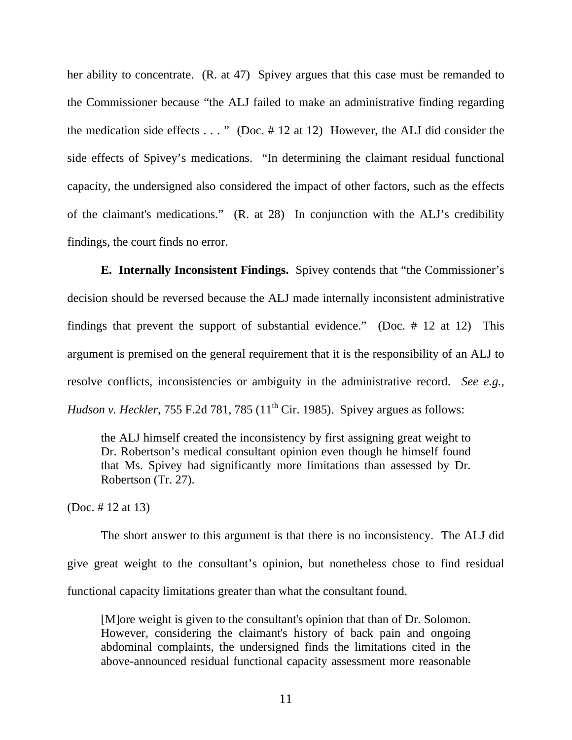her ability to concentrate. (R. at 47) Spivey argues that this case must be remanded to the Commissioner because "the ALJ failed to make an administrative finding regarding the medication side effects  $\dots$  " (Doc. # 12 at 12) However, the ALJ did consider the side effects of Spivey's medications. "In determining the claimant residual functional capacity, the undersigned also considered the impact of other factors, such as the effects of the claimant's medications." (R. at 28) In conjunction with the ALJ's credibility findings, the court finds no error.

**E. Internally Inconsistent Findings.** Spivey contends that "the Commissioner's decision should be reversed because the ALJ made internally inconsistent administrative findings that prevent the support of substantial evidence." (Doc. # 12 at 12) This argument is premised on the general requirement that it is the responsibility of an ALJ to resolve conflicts, inconsistencies or ambiguity in the administrative record. *See e.g., Hudson v. Heckler*, 755 F.2d 781, 785 (11<sup>th</sup> Cir. 1985). Spivey argues as follows:

the ALJ himself created the inconsistency by first assigning great weight to Dr. Robertson's medical consultant opinion even though he himself found that Ms. Spivey had significantly more limitations than assessed by Dr. Robertson (Tr. 27).

(Doc. # 12 at 13)

 The short answer to this argument is that there is no inconsistency. The ALJ did give great weight to the consultant's opinion, but nonetheless chose to find residual functional capacity limitations greater than what the consultant found.

[M]ore weight is given to the consultant's opinion that than of Dr. Solomon. However, considering the claimant's history of back pain and ongoing abdominal complaints, the undersigned finds the limitations cited in the above-announced residual functional capacity assessment more reasonable